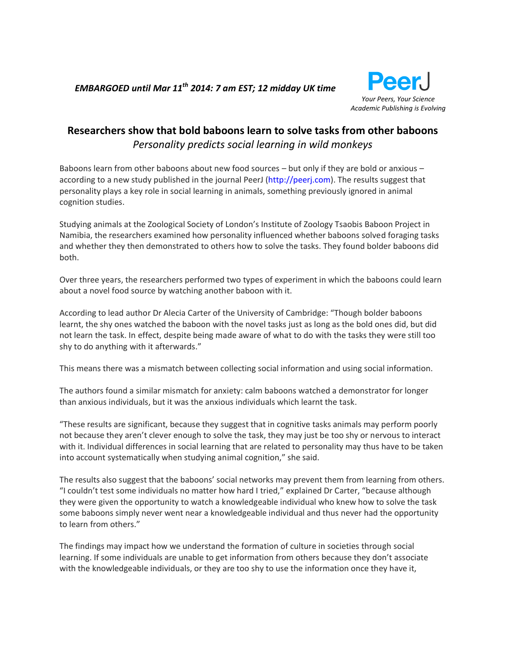*EMBARGOED until Mar 11th 2014: 7 am EST; 12 midday UK time* 



# **Researchers show that bold baboons learn to solve tasks from other baboons** *Personality predicts social learning in wild monkeys*

Baboons learn from other baboons about new food sources – but only if they are bold or anxious – according to a new study published in the journal PeerJ [\(http://peerj.com\)](http://peerj.com/). The results suggest that personality plays a key role in social learning in animals, something previously ignored in animal cognition studies.

Studying animals at the Zoological Society of London's Institute of Zoology Tsaobis Baboon Project in Namibia, the researchers examined how personality influenced whether baboons solved foraging tasks and whether they then demonstrated to others how to solve the tasks. They found bolder baboons did both.

Over three years, the researchers performed two types of experiment in which the baboons could learn about a novel food source by watching another baboon with it.

According to lead author Dr Alecia Carter of the University of Cambridge: "Though bolder baboons learnt, the shy ones watched the baboon with the novel tasks just as long as the bold ones did, but did not learn the task. In effect, despite being made aware of what to do with the tasks they were still too shy to do anything with it afterwards."

This means there was a mismatch between collecting social information and using social information.

The authors found a similar mismatch for anxiety: calm baboons watched a demonstrator for longer than anxious individuals, but it was the anxious individuals which learnt the task.

"These results are significant, because they suggest that in cognitive tasks animals may perform poorly not because they aren't clever enough to solve the task, they may just be too shy or nervous to interact with it. Individual differences in social learning that are related to personality may thus have to be taken into account systematically when studying animal cognition," she said.

The results also suggest that the baboons' social networks may prevent them from learning from others. "I couldn't test some individuals no matter how hard I tried," explained Dr Carter, "because although they were given the opportunity to watch a knowledgeable individual who knew how to solve the task some baboons simply never went near a knowledgeable individual and thus never had the opportunity to learn from others."

The findings may impact how we understand the formation of culture in societies through social learning. If some individuals are unable to get information from others because they don't associate with the knowledgeable individuals, or they are too shy to use the information once they have it,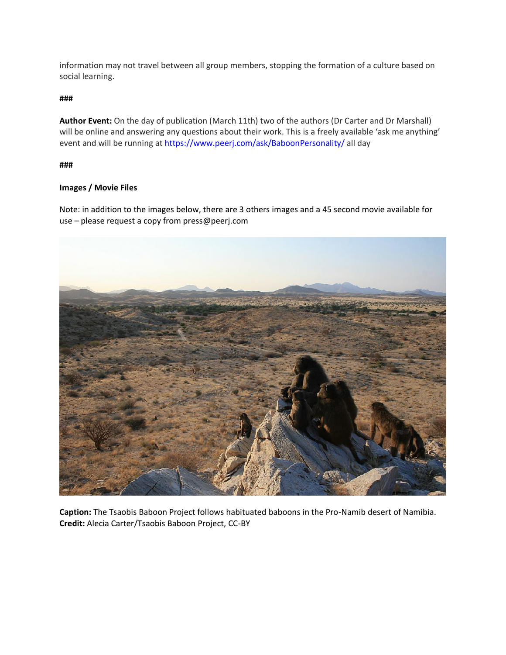information may not travel between all group members, stopping the formation of a culture based on social learning.

### **###**

**Author Event:** On the day of publication (March 11th) two of the authors (Dr Carter and Dr Marshall) will be online and answering any questions about their work. This is a freely available 'ask me anything' event and will be running at<https://www.peerj.com/ask/BaboonPersonality/> all day

#### **###**

## **Images / Movie Files**

Note: in addition to the images below, there are 3 others images and a 45 second movie available for use – please request a copy from press@peerj.com



**Caption:** The Tsaobis Baboon Project follows habituated baboons in the Pro-Namib desert of Namibia. **Credit:** Alecia Carter/Tsaobis Baboon Project, CC-BY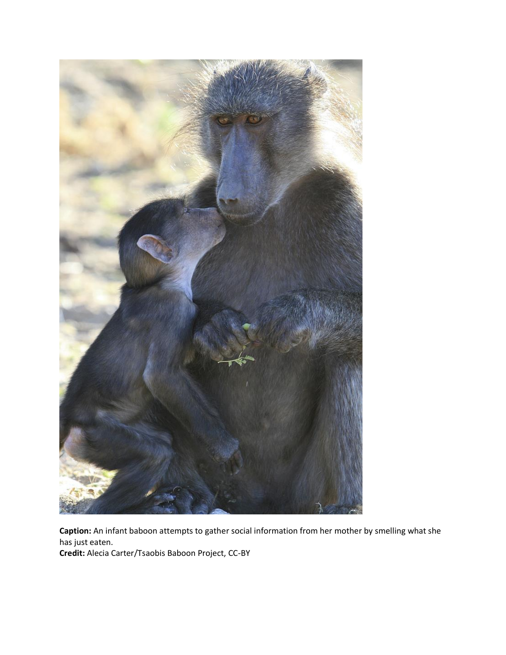

**Caption:** An infant baboon attempts to gather social information from her mother by smelling what she has just eaten. **Credit:** Alecia Carter/Tsaobis Baboon Project, CC-BY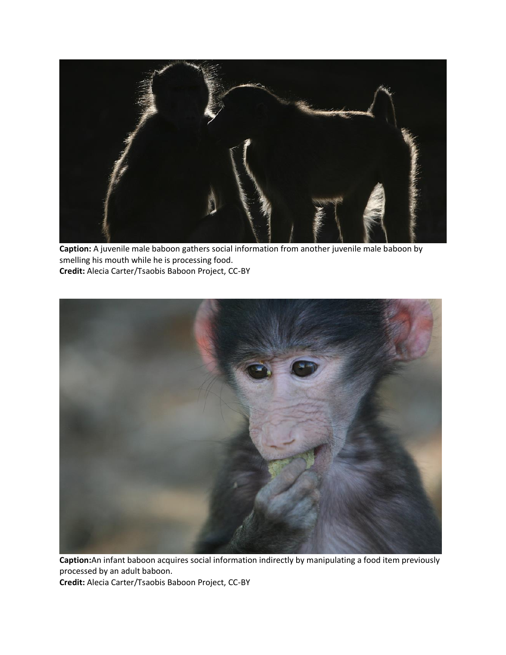

**Caption:** A juvenile male baboon gathers social information from another juvenile male baboon by smelling his mouth while he is processing food. **Credit:** Alecia Carter/Tsaobis Baboon Project, CC-BY



**Caption:**An infant baboon acquires social information indirectly by manipulating a food item previously processed by an adult baboon. **Credit:** Alecia Carter/Tsaobis Baboon Project, CC-BY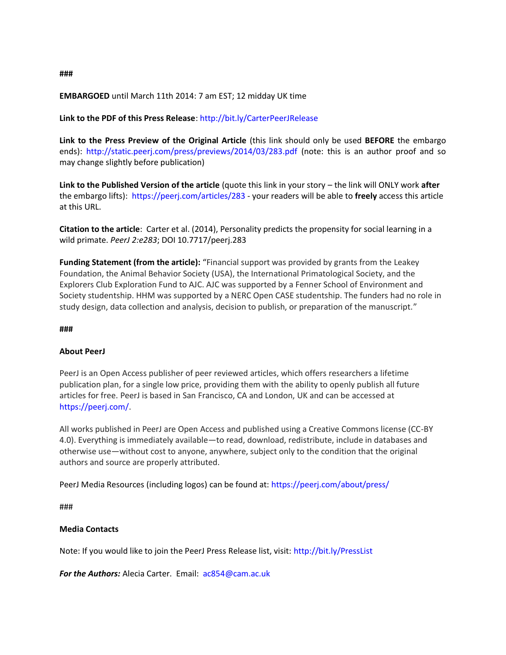## **EMBARGOED** until March 11th 2014: 7 am EST; 12 midday UK time

## **Link to the PDF of this Press Release**:<http://bit.ly/CarterPeerJRelease>

**Link to the Press Preview of the Original Article** (this link should only be used **BEFORE** the embargo ends):<http://static.peerj.com/press/previews/2014/03/283.pdf> (note: this is an author proof and so may change slightly before publication)

**Link to the Published Version of the article** (quote this link in your story – the link will ONLY work **after** the embargo lifts):<https://peerj.com/articles/283> - your readers will be able to **freely** access this article at this URL.

**Citation to the article**: Carter et al. (2014), Personality predicts the propensity for social learning in a wild primate. *PeerJ 2:e283*; DOI 10.7717/peerj.283

**Funding Statement (from the article):** "Financial support was provided by grants from the Leakey Foundation, the Animal Behavior Society (USA), the International Primatological Society, and the Explorers Club Exploration Fund to AJC. AJC was supported by a Fenner School of Environment and Society studentship. HHM was supported by a NERC Open CASE studentship. The funders had no role in study design, data collection and analysis, decision to publish, or preparation of the manuscript."

#### **###**

#### **About PeerJ**

PeerJ is an Open Access publisher of peer reviewed articles, which offers researchers a lifetime publication plan, for a single low price, providing them with the ability to openly publish all future articles for free. PeerJ is based in San Francisco, CA and London, UK and can be accessed at [https://peerj.com/.](https://peerj.com/)

All works published in PeerJ are Open Access and published using a Creative Commons license (CC-BY 4.0). Everything is immediately available—to read, download, redistribute, include in databases and otherwise use—without cost to anyone, anywhere, subject only to the condition that the original authors and source are properly attributed.

PeerJ Media Resources (including logos) can be found at:<https://peerj.com/about/press/>

###

## **Media Contacts**

Note: If you would like to join the PeerJ Press Release list, visit:<http://bit.ly/PressList>

*For the Authors:* Alecia Carter. Email: [ac854@cam.ac.uk](mailto:ac854@cam.ac.uk)

**###**